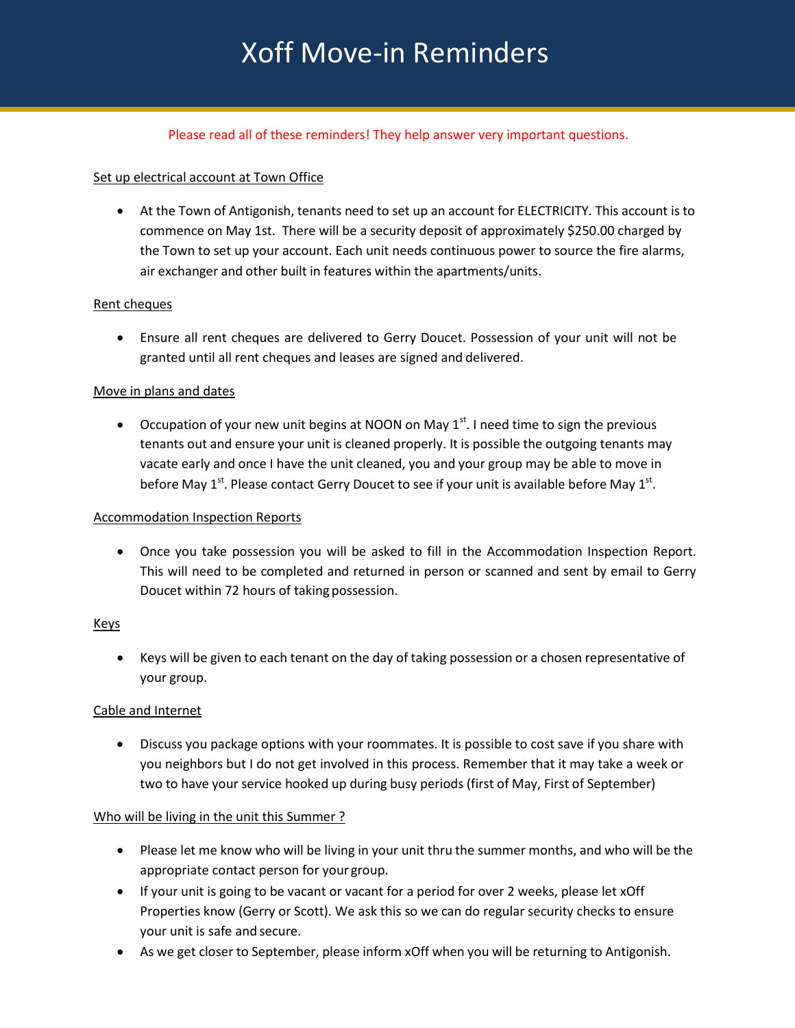# Xoff Move-in Reminders

## Please read all of these reminders! They help answer very important questions.

## Set up electrical account at Town Office

 At the Town of Antigonish, tenants need to set up an account for ELECTRICITY. This account is to commence on May 1st. There will be a security deposit of approximately \$250.00 charged by the Town to set up your account. Each unit needs continuous power to source the fire alarms, air exchanger and other built in features within the apartments/units.

#### Rent cheques

 Ensure all rent cheques are delivered to Gerry Doucet. Possession of your unit will not be granted until all rent cheques and leases are signed and delivered.

## Move in plans and dates

• Occupation of your new unit begins at NOON on May  $1<sup>st</sup>$ . I need time to sign the previous tenants out and ensure your unit is cleaned properly. It is possible the outgoing tenants may vacate early and once I have the unit cleaned, you and your group may be able to move in before May 1<sup>st</sup>. Please contact Gerry Doucet to see if your unit is available before May 1<sup>st</sup>.

#### Accommodation Inspection Reports

 Once you take possession you will be asked to fill in the Accommodation Inspection Report. This will need to be completed and returned in person or scanned and sent by email to Gerry Doucet within 72 hours of taking possession.

#### Keys

 Keys will be given to each tenant on the day of taking possession or a chosen representative of your group.

#### Cable and Internet

 Discuss you package options with your roommates. It is possible to cost save if you share with you neighbors but I do not get involved in this process. Remember that it may take a week or two to have your service hooked up during busy periods (first of May, First of September)

#### Who will be living in the unit this Summer?

- Please let me know who will be living in your unit thru the summer months, and who will be the appropriate contact person for your group.
- If your unit is going to be vacant or vacant for a period for over 2 weeks, please let xOff Properties know (Gerry or Scott). We ask this so we can do regular security checks to ensure your unit is safe and secure.
- As we get closer to September, please inform xOff when you will be returning to Antigonish.